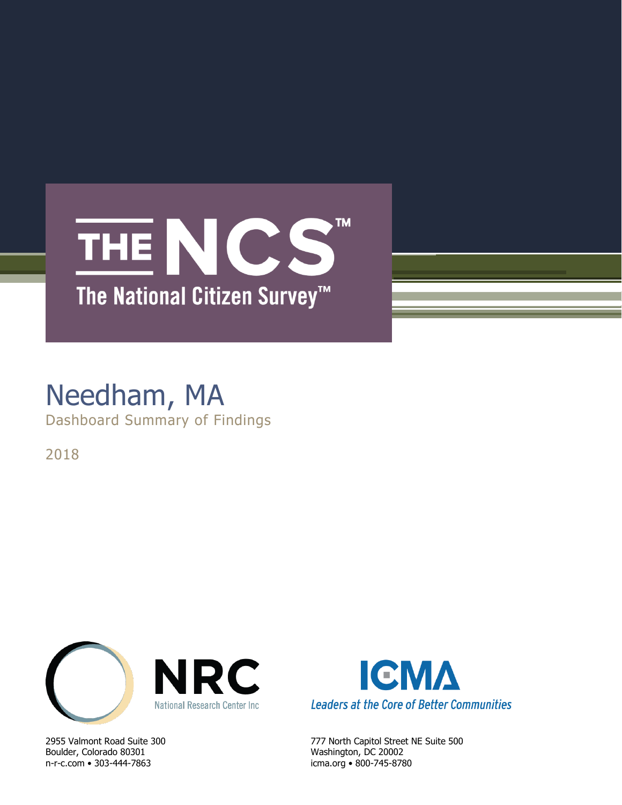## **TM** THE NCS The National Citizen Survey<sup>™</sup>

### Needham, MA Dashboard Summary of Findings

2018



Boulder, Colorado 80301 Washington, DC 20002 n-r-c.com • 303-444-7863 icma.org • 800-745-8780



2955 Valmont Road Suite 300 777 North Capitol Street NE Suite 500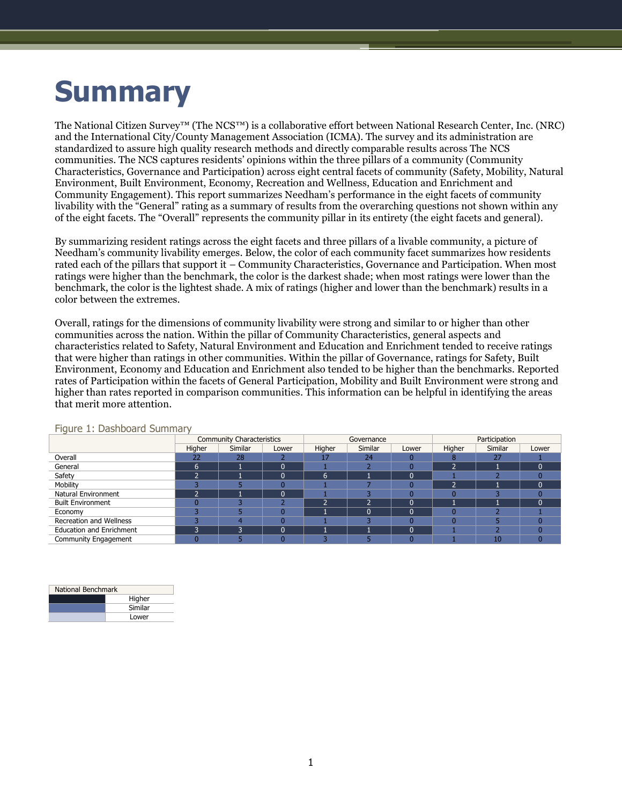# **Summary**

The National Citizen Survey™ (The NCS™) is a collaborative effort between National Research Center, Inc. (NRC) and the International City/County Management Association (ICMA). The survey and its administration are standardized to assure high quality research methods and directly comparable results across The NCS communities. The NCS captures residents' opinions within the three pillars of a community (Community Characteristics, Governance and Participation) across eight central facets of community (Safety, Mobility, Natural Environment, Built Environment, Economy, Recreation and Wellness, Education and Enrichment and Community Engagement). This report summarizes Needham's performance in the eight facets of community livability with the "General" rating as a summary of results from the overarching questions not shown within any of the eight facets. The "Overall" represents the community pillar in its entirety (the eight facets and general).

By summarizing resident ratings across the eight facets and three pillars of a livable community, a picture of Needham's community livability emerges. Below, the color of each community facet summarizes how residents rated each of the pillars that support it – Community Characteristics, Governance and Participation. When most ratings were higher than the benchmark, the color is the darkest shade; when most ratings were lower than the benchmark, the color is the lightest shade. A mix of ratings (higher and lower than the benchmark) results in a color between the extremes.

Overall, ratings for the dimensions of community livability were strong and similar to or higher than other communities across the nation. Within the pillar of Community Characteristics, general aspects and characteristics related to Safety, Natural Environment and Education and Enrichment tended to receive ratings that were higher than ratings in other communities. Within the pillar of Governance, ratings for Safety, Built Environment, Economy and Education and Enrichment also tended to be higher than the benchmarks. Reported rates of Participation within the facets of General Participation, Mobility and Built Environment were strong and higher than rates reported in comparison communities. This information can be helpful in identifying the areas that merit more attention.

|                                 |        | <b>Community Characteristics</b> |              |        | Governance |       | Participation |         |              |  |
|---------------------------------|--------|----------------------------------|--------------|--------|------------|-------|---------------|---------|--------------|--|
|                                 | Higher | Similar                          | Lower        | Higher | Similar    | Lower | Higher        | Similar | Lower        |  |
| Overall                         | 22     | 28                               |              | 17     | 24         |       |               | 27      |              |  |
| General                         | h      |                                  | $\mathbf{0}$ |        |            |       |               |         | <sup>n</sup> |  |
| Safety                          |        |                                  | $\mathbf{0}$ | b      |            |       |               |         |              |  |
| Mobility                        |        |                                  |              |        |            |       |               |         | n            |  |
| Natural Environment             |        |                                  | $\mathbf{0}$ |        |            |       |               |         |              |  |
| <b>Built Environment</b>        |        |                                  |              |        |            |       |               |         | $\Omega$     |  |
| Economy                         |        |                                  |              |        |            |       |               |         |              |  |
| Recreation and Wellness         |        |                                  |              |        |            |       |               |         |              |  |
| <b>Education and Enrichment</b> |        |                                  | $\mathbf{0}$ |        |            |       |               |         |              |  |
| Community Engagement            |        |                                  |              |        |            |       |               | 10      |              |  |

#### Figure 1: Dashboard Summary

| National Benchmark |         |  |  |  |  |  |  |
|--------------------|---------|--|--|--|--|--|--|
|                    | Higher  |  |  |  |  |  |  |
|                    | Similar |  |  |  |  |  |  |
|                    | Lower   |  |  |  |  |  |  |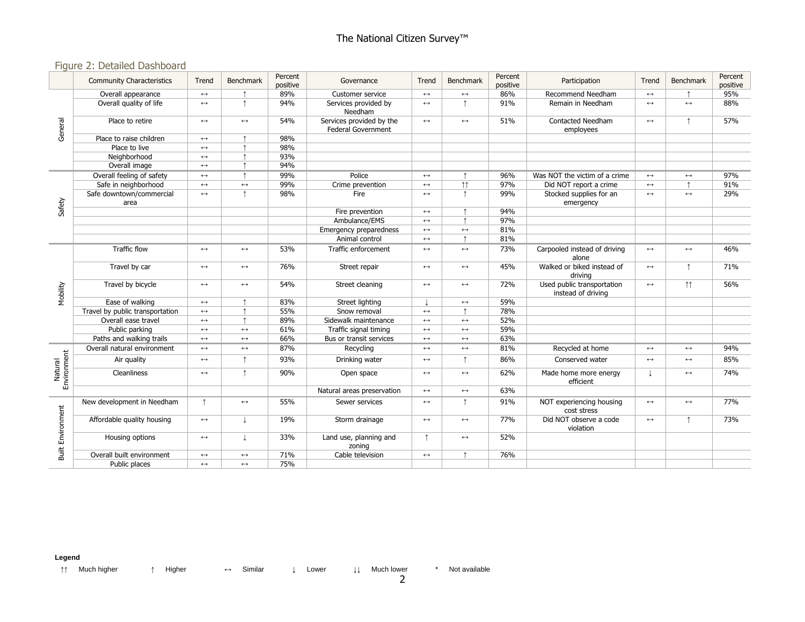#### Figure 2: Detailed Dashboard

|                          | <b>Community Characteristics</b> | Trend                 | <b>Benchmark</b>      | Percent<br>positive | Governance                                            | Trend                 | <b>Benchmark</b>      | Percent<br>positive | Participation                                    | Trend                 | Benchmark             | Percent<br>positive |
|--------------------------|----------------------------------|-----------------------|-----------------------|---------------------|-------------------------------------------------------|-----------------------|-----------------------|---------------------|--------------------------------------------------|-----------------------|-----------------------|---------------------|
| General                  | Overall appearance               | $\leftrightarrow$     |                       | 89%                 | Customer service                                      | $\longleftrightarrow$ | $\longleftrightarrow$ | 86%                 | Recommend Needham                                | $\longleftrightarrow$ |                       | 95%                 |
|                          | Overall quality of life          | $\leftrightarrow$     | $\uparrow$            | 94%                 | Services provided by<br>Needham                       | $\leftrightarrow$     | $\uparrow$            | 91%                 | Remain in Needham                                | $\leftrightarrow$     | $\longleftrightarrow$ | 88%                 |
|                          | Place to retire                  | $\longleftrightarrow$ | $\leftrightarrow$     | 54%                 | Services provided by the<br><b>Federal Government</b> | $\longleftrightarrow$ | $\leftrightarrow$     | 51%                 | <b>Contacted Needham</b><br>employees            | $\longleftrightarrow$ | $\uparrow$            | 57%                 |
|                          | Place to raise children          | $\longleftrightarrow$ |                       | 98%                 |                                                       |                       |                       |                     |                                                  |                       |                       |                     |
|                          | Place to live                    | $\leftrightarrow$     |                       | 98%                 |                                                       |                       |                       |                     |                                                  |                       |                       |                     |
|                          | Neighborhood                     | $\longleftrightarrow$ |                       | 93%                 |                                                       |                       |                       |                     |                                                  |                       |                       |                     |
|                          | Overall image                    | $\longleftrightarrow$ | $\uparrow$            | 94%                 |                                                       |                       |                       |                     |                                                  |                       |                       |                     |
|                          | Overall feeling of safety        | $\leftrightarrow$     | $\uparrow$            | 99%                 | Police                                                | $\longleftrightarrow$ | $\uparrow$            | 96%                 | Was NOT the victim of a crime                    | $\longleftrightarrow$ | $\longleftrightarrow$ | 97%                 |
|                          | Safe in neighborhood             | $\longleftrightarrow$ | $\leftrightarrow$     | 99%                 | Crime prevention                                      | $\leftrightarrow$     | $\uparrow\uparrow$    | 97%                 | Did NOT report a crime                           | $\leftrightarrow$     |                       | 91%                 |
| Safety                   | Safe downtown/commercial<br>area | $\longleftrightarrow$ | $\uparrow$            | 98%                 | Fire                                                  | $\leftrightarrow$     | $\uparrow$            | 99%                 | Stocked supplies for an<br>emergency             | $\longleftrightarrow$ | $\longleftrightarrow$ | 29%                 |
|                          |                                  |                       |                       |                     | Fire prevention                                       | $\leftrightarrow$     |                       | 94%                 |                                                  |                       |                       |                     |
|                          |                                  |                       |                       |                     | Ambulance/EMS                                         | $\leftrightarrow$     | $\uparrow$            | 97%                 |                                                  |                       |                       |                     |
|                          |                                  |                       |                       |                     | Emergency preparedness                                | $\leftrightarrow$     | $\leftrightarrow$     | 81%                 |                                                  |                       |                       |                     |
|                          |                                  |                       |                       |                     | Animal control                                        | $\leftrightarrow$     | $\uparrow$            | 81%                 |                                                  |                       |                       |                     |
|                          | <b>Traffic flow</b>              | $\leftrightarrow$     | $\leftrightarrow$     | 53%                 | Traffic enforcement                                   | $\longleftrightarrow$ | $\leftrightarrow$     | 73%                 | Carpooled instead of driving<br>alone            | $\longleftrightarrow$ | $\longleftrightarrow$ | 46%                 |
|                          | Travel by car                    | $\longleftrightarrow$ | $\leftrightarrow$     | 76%                 | Street repair                                         | $\leftrightarrow$     | $\leftrightarrow$     | 45%                 | Walked or biked instead of<br>driving            | $\leftrightarrow$     | $\uparrow$            | 71%                 |
| Mobility                 | Travel by bicycle                | $\longleftrightarrow$ | $\longleftrightarrow$ | 54%                 | Street cleaning                                       | $\longleftrightarrow$ | $\longleftrightarrow$ | 72%                 | Used public transportation<br>instead of driving | $\longleftrightarrow$ | $\uparrow \uparrow$   | 56%                 |
|                          | Ease of walking                  | $\leftrightarrow$     |                       | 83%                 | Street lighting                                       | $\perp$               | $\longleftrightarrow$ | 59%                 |                                                  |                       |                       |                     |
|                          | Travel by public transportation  | $\leftrightarrow$     |                       | 55%                 | Snow removal                                          | $\longleftrightarrow$ | $\uparrow$            | 78%                 |                                                  |                       |                       |                     |
|                          | Overall ease travel              | $\leftrightarrow$     |                       | 89%                 | Sidewalk maintenance                                  | $\leftrightarrow$     | $\leftrightarrow$     | 52%                 |                                                  |                       |                       |                     |
|                          | Public parking                   | $\longleftrightarrow$ | $\leftrightarrow$     | 61%                 | Traffic signal timing                                 | $\longleftrightarrow$ | $\leftrightarrow$     | 59%                 |                                                  |                       |                       |                     |
|                          | Paths and walking trails         | $\leftrightarrow$     | $\longleftrightarrow$ | 66%                 | Bus or transit services                               | $\longleftrightarrow$ | $\leftrightarrow$     | 63%                 |                                                  |                       |                       |                     |
|                          | Overall natural environment      | $\longleftrightarrow$ | $\leftrightarrow$     | 87%                 | Recycling                                             | $\longleftrightarrow$ | $\longleftrightarrow$ | 81%                 | Recycled at home                                 | $\leftrightarrow$     | $\longleftrightarrow$ | 94%                 |
|                          | Air quality                      | $\longleftrightarrow$ | $\uparrow$            | 93%                 | Drinking water                                        | $\longleftrightarrow$ | $\uparrow$            | 86%                 | Conserved water                                  | $\leftrightarrow$     | $\longleftrightarrow$ | 85%                 |
| Environment<br>Natural   | Cleanliness                      | $\longleftrightarrow$ | $\uparrow$            | 90%                 | Open space                                            | $\longleftrightarrow$ | $\leftrightarrow$     | 62%                 | Made home more energy<br>efficient               |                       | $\leftrightarrow$     | 74%                 |
|                          |                                  |                       |                       |                     | Natural areas preservation                            | $\longleftrightarrow$ | $\longleftrightarrow$ | 63%                 |                                                  |                       |                       |                     |
| <b>Built Environment</b> | New development in Needham       | $\uparrow$            | $\leftrightarrow$     | 55%                 | Sewer services                                        | $\longleftrightarrow$ | $\uparrow$            | 91%                 | NOT experiencing housing<br>cost stress          | $\leftrightarrow$     | $\longleftrightarrow$ | 77%                 |
|                          | Affordable quality housing       | $\longleftrightarrow$ | $\downarrow$          | 19%                 | Storm drainage                                        | $\leftrightarrow$     | $\leftrightarrow$     | 77%                 | Did NOT observe a code<br>violation              | $\leftrightarrow$     | $\uparrow$            | 73%                 |
|                          | Housing options                  | $\longleftrightarrow$ |                       | 33%                 | Land use, planning and<br>zoning                      | $\uparrow$            | $\leftrightarrow$     | 52%                 |                                                  |                       |                       |                     |
|                          | Overall built environment        | $\longleftrightarrow$ | $\leftrightarrow$     | 71%                 | Cable television                                      | $\longleftrightarrow$ |                       | 76%                 |                                                  |                       |                       |                     |
|                          | Public places                    | $\leftrightarrow$     | $\leftrightarrow$     | 75%                 |                                                       |                       |                       |                     |                                                  |                       |                       |                     |

**Legend**

↑↑ Much higher ↑ Higher ↔ Similar ↓ Lower ↓↓ Much lower \* Not available

2